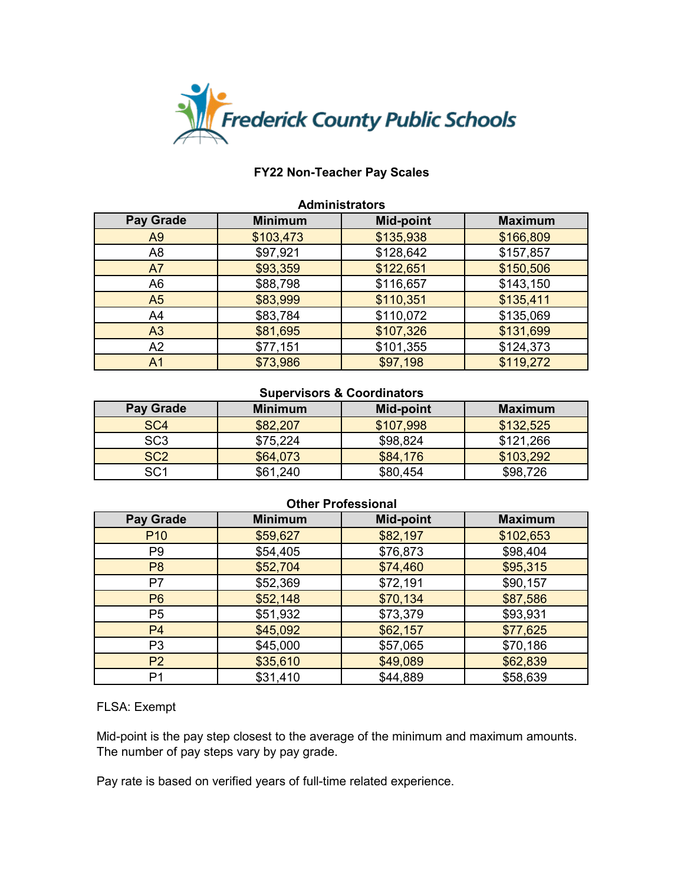

| <b>Administrators</b> |                |                  |                |
|-----------------------|----------------|------------------|----------------|
| <b>Pay Grade</b>      | <b>Minimum</b> | <b>Mid-point</b> | <b>Maximum</b> |
| A9                    | \$103,473      | \$135,938        | \$166,809      |
| A <sub>8</sub>        | \$97,921       | \$128,642        | \$157,857      |
| A7                    | \$93,359       | \$122,651        | \$150,506      |
| A <sub>6</sub>        | \$88,798       | \$116,657        | \$143,150      |
| A <sub>5</sub>        | \$83,999       | \$110,351        | \$135,411      |
| A <sub>4</sub>        | \$83,784       | \$110,072        | \$135,069      |
| A <sub>3</sub>        | \$81,695       | \$107,326        | \$131,699      |
| A2                    | \$77,151       | \$101,355        | \$124,373      |
| A <sub>1</sub>        | \$73,986       | \$97,198         | \$119,272      |

#### **Supervisors & Coordinators**

| Pay Grade       | <b>Minimum</b> | Mid-point | <b>Maximum</b> |
|-----------------|----------------|-----------|----------------|
| SC <sub>4</sub> | \$82,207       | \$107,998 | \$132,525      |
| SC3             | \$75,224       | \$98,824  | \$121,266      |
| SC <sub>2</sub> | \$64,073       | \$84,176  | \$103,292      |
| SC <sub>1</sub> | \$61,240       | \$80,454  | \$98,726       |

### **Other Professional**

| <b>Pay Grade</b> | <b>Minimum</b> | <b>Mid-point</b> | <b>Maximum</b> |
|------------------|----------------|------------------|----------------|
| P <sub>10</sub>  | \$59,627       | \$82,197         | \$102,653      |
| P <sub>9</sub>   | \$54,405       | \$76,873         | \$98,404       |
| P <sub>8</sub>   | \$52,704       | \$74,460         | \$95,315       |
| P7               | \$52,369       | \$72,191         | \$90,157       |
| P <sub>6</sub>   | \$52,148       | \$70,134         | \$87,586       |
| P <sub>5</sub>   | \$51,932       | \$73,379         | \$93,931       |
| P <sub>4</sub>   | \$45,092       | \$62,157         | \$77,625       |
| P <sub>3</sub>   | \$45,000       | \$57,065         | \$70,186       |
| P <sub>2</sub>   | \$35,610       | \$49,089         | \$62,839       |
| P <sub>1</sub>   | \$31,410       | \$44,889         | \$58,639       |

#### FLSA: Exempt

Mid-point is the pay step closest to the average of the minimum and maximum amounts. The number of pay steps vary by pay grade.

Pay rate is based on verified years of full-time related experience.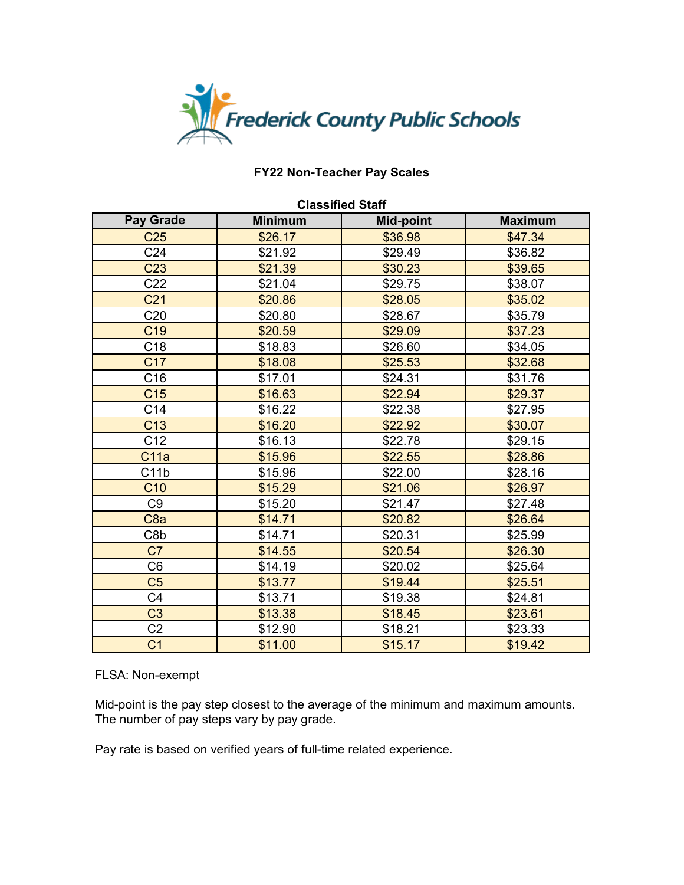

| <b>Classified Staff</b> |                |                  |                |
|-------------------------|----------------|------------------|----------------|
| <b>Pay Grade</b>        | <b>Minimum</b> | <b>Mid-point</b> | <b>Maximum</b> |
| C <sub>25</sub>         | \$26.17        | \$36.98          | \$47.34        |
| C <sub>24</sub>         | \$21.92        | \$29.49          | \$36.82        |
| C <sub>23</sub>         | \$21.39        | \$30.23          | \$39.65        |
| C <sub>22</sub>         | \$21.04        | \$29.75          | \$38.07        |
| C <sub>21</sub>         | \$20.86        | \$28.05          | \$35.02        |
| C <sub>20</sub>         | \$20.80        | \$28.67          | \$35.79        |
| C <sub>19</sub>         | \$20.59        | \$29.09          | \$37.23        |
| C <sub>18</sub>         | \$18.83        | \$26.60          | \$34.05        |
| C <sub>17</sub>         | \$18.08        | \$25.53          | \$32.68        |
| C16                     | \$17.01        | \$24.31          | \$31.76        |
| C <sub>15</sub>         | \$16.63        | \$22.94          | \$29.37        |
| C <sub>14</sub>         | \$16.22        | \$22.38          | \$27.95        |
| C <sub>13</sub>         | \$16.20        | \$22.92          | \$30.07        |
| C12                     | \$16.13        | \$22.78          | \$29.15        |
| C <sub>11a</sub>        | \$15.96        | \$22.55          | \$28.86        |
| C11b                    | \$15.96        | \$22.00          | \$28.16        |
| C <sub>10</sub>         | \$15.29        | \$21.06          | \$26.97        |
| C <sub>9</sub>          | \$15.20        | \$21.47          | \$27.48        |
| C <sub>8a</sub>         | \$14.71        | \$20.82          | \$26.64        |
| C8b                     | \$14.71        | \$20.31          | \$25.99        |
| C7                      | \$14.55        | \$20.54          | \$26.30        |
| C <sub>6</sub>          | \$14.19        | \$20.02          | \$25.64        |
| C <sub>5</sub>          | \$13.77        | \$19.44          | \$25.51        |
| C <sub>4</sub>          | \$13.71        | \$19.38          | \$24.81        |
| C <sub>3</sub>          | \$13.38        | \$18.45          | \$23.61        |
| C <sub>2</sub>          | \$12.90        | \$18.21          | \$23.33        |
| C <sub>1</sub>          | \$11.00        | \$15.17          | \$19.42        |

### FLSA: Non-exempt

Mid-point is the pay step closest to the average of the minimum and maximum amounts. The number of pay steps vary by pay grade.

Pay rate is based on verified years of full-time related experience.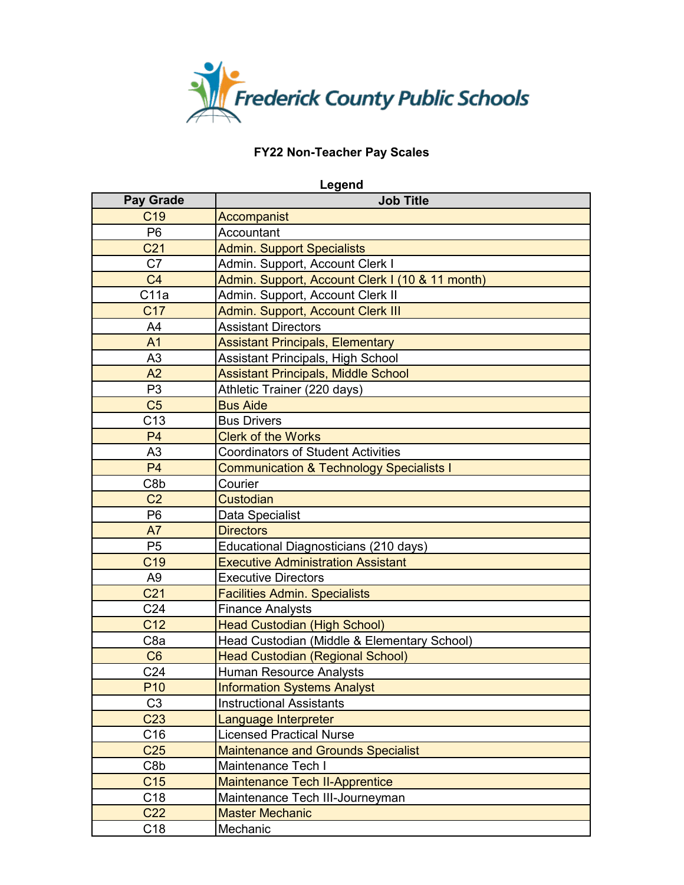

| Legend           |                                                     |
|------------------|-----------------------------------------------------|
| <b>Pay Grade</b> | <b>Job Title</b>                                    |
| C <sub>19</sub>  | Accompanist                                         |
| P <sub>6</sub>   | Accountant                                          |
| C <sub>21</sub>  | <b>Admin. Support Specialists</b>                   |
| C7               | Admin. Support, Account Clerk I                     |
| C <sub>4</sub>   | Admin. Support, Account Clerk I (10 & 11 month)     |
| C11a             | Admin. Support, Account Clerk II                    |
| C <sub>17</sub>  | <b>Admin. Support, Account Clerk III</b>            |
| A4               | <b>Assistant Directors</b>                          |
| A <sub>1</sub>   | <b>Assistant Principals, Elementary</b>             |
| A3               | Assistant Principals, High School                   |
| A2               | <b>Assistant Principals, Middle School</b>          |
| P <sub>3</sub>   | Athletic Trainer (220 days)                         |
| C <sub>5</sub>   | <b>Bus Aide</b>                                     |
| C13              | <b>Bus Drivers</b>                                  |
| P <sub>4</sub>   | <b>Clerk of the Works</b>                           |
| A3               | <b>Coordinators of Student Activities</b>           |
| P <sub>4</sub>   | <b>Communication &amp; Technology Specialists I</b> |
| C8b              | Courier                                             |
| C <sub>2</sub>   | <b>Custodian</b>                                    |
| P <sub>6</sub>   | Data Specialist                                     |
| A7               | <b>Directors</b>                                    |
| P <sub>5</sub>   | Educational Diagnosticians (210 days)               |
| C <sub>19</sub>  | <b>Executive Administration Assistant</b>           |
| A <sub>9</sub>   | <b>Executive Directors</b>                          |
| C <sub>21</sub>  | <b>Facilities Admin. Specialists</b>                |
| C <sub>24</sub>  | <b>Finance Analysts</b>                             |
| C <sub>12</sub>  | <b>Head Custodian (High School)</b>                 |
| C <sub>8a</sub>  | Head Custodian (Middle & Elementary School)         |
| C <sub>6</sub>   | <b>Head Custodian (Regional School)</b>             |
| C <sub>24</sub>  | <b>Human Resource Analysts</b>                      |
| P <sub>10</sub>  | <b>Information Systems Analyst</b>                  |
| C <sub>3</sub>   | <b>Instructional Assistants</b>                     |
| C <sub>23</sub>  | Language Interpreter                                |
| C16              | <b>Licensed Practical Nurse</b>                     |
| C <sub>25</sub>  | <b>Maintenance and Grounds Specialist</b>           |
| C8b              | Maintenance Tech I                                  |
| C <sub>15</sub>  | <b>Maintenance Tech II-Apprentice</b>               |
| C18              | Maintenance Tech III-Journeyman                     |
| C <sub>22</sub>  | <b>Master Mechanic</b>                              |
| C <sub>18</sub>  | Mechanic                                            |